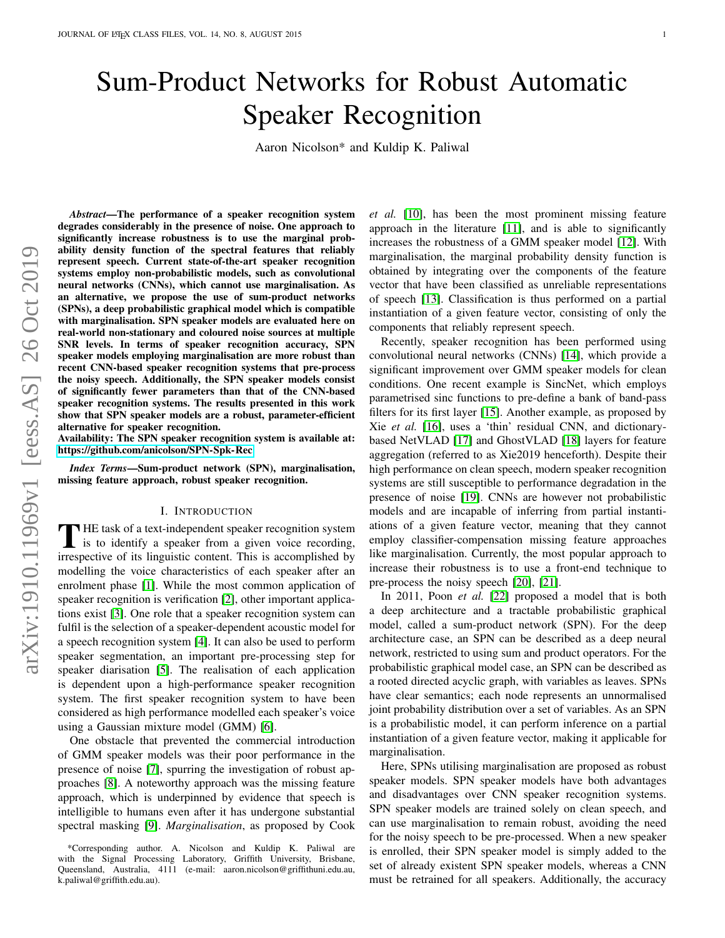# Sum-Product Networks for Robust Automatic Speaker Recognition

Aaron Nicolson\* and Kuldip K. Paliwal

*Abstract*—The performance of a speaker recognition system degrades considerably in the presence of noise. One approach to significantly increase robustness is to use the marginal probability density function of the spectral features that reliably represent speech. Current state-of-the-art speaker recognition systems employ non-probabilistic models, such as convolutional neural networks (CNNs), which cannot use marginalisation. As an alternative, we propose the use of sum-product networks (SPNs), a deep probabilistic graphical model which is compatible with marginalisation. SPN speaker models are evaluated here on real-world non-stationary and coloured noise sources at multiple SNR levels. In terms of speaker recognition accuracy, SPN speaker models employing marginalisation are more robust than recent CNN-based speaker recognition systems that pre-process the noisy speech. Additionally, the SPN speaker models consist of significantly fewer parameters than that of the CNN-based speaker recognition systems. The results presented in this work show that SPN speaker models are a robust, parameter-efficient alternative for speaker recognition.

Availability: The SPN speaker recognition system is available at: <https://github.com/anicolson/SPN-Spk-Rec>

*Index Terms*—Sum-product network (SPN), marginalisation, missing feature approach, robust speaker recognition.

#### I. INTRODUCTION

THE task of a text-independent speaker recognition system<br>is to identify a speaker from a given voice recording,<br>improved in linearistic content. This is accommished by **HE** task of a text-independent speaker recognition system irrespective of its linguistic content. This is accomplished by modelling the voice characteristics of each speaker after an enrolment phase [\[1\]](#page-4-0). While the most common application of speaker recognition is verification [\[2\]](#page-4-1), other important applications exist [\[3\]](#page-4-2). One role that a speaker recognition system can fulfil is the selection of a speaker-dependent acoustic model for a speech recognition system [\[4\]](#page-4-3). It can also be used to perform speaker segmentation, an important pre-processing step for speaker diarisation [\[5\]](#page-4-4). The realisation of each application is dependent upon a high-performance speaker recognition system. The first speaker recognition system to have been considered as high performance modelled each speaker's voice using a Gaussian mixture model (GMM) [\[6\]](#page-4-5).

One obstacle that prevented the commercial introduction of GMM speaker models was their poor performance in the presence of noise [\[7\]](#page-4-6), spurring the investigation of robust approaches [\[8\]](#page-4-7). A noteworthy approach was the missing feature approach, which is underpinned by evidence that speech is intelligible to humans even after it has undergone substantial spectral masking [\[9\]](#page-4-8). *Marginalisation*, as proposed by Cook *et al.* [\[10\]](#page-4-9), has been the most prominent missing feature approach in the literature [\[11\]](#page-4-10), and is able to significantly increases the robustness of a GMM speaker model [\[12\]](#page-4-11). With marginalisation, the marginal probability density function is obtained by integrating over the components of the feature vector that have been classified as unreliable representations of speech [\[13\]](#page-4-12). Classification is thus performed on a partial instantiation of a given feature vector, consisting of only the components that reliably represent speech.

Recently, speaker recognition has been performed using convolutional neural networks (CNNs) [\[14\]](#page-4-13), which provide a significant improvement over GMM speaker models for clean conditions. One recent example is SincNet, which employs parametrised sinc functions to pre-define a bank of band-pass filters for its first layer [\[15\]](#page-4-14). Another example, as proposed by Xie *et al.* [\[16\]](#page-4-15), uses a 'thin' residual CNN, and dictionarybased NetVLAD [\[17\]](#page-4-16) and GhostVLAD [\[18\]](#page-4-17) layers for feature aggregation (referred to as Xie2019 henceforth). Despite their high performance on clean speech, modern speaker recognition systems are still susceptible to performance degradation in the presence of noise [\[19\]](#page-4-18). CNNs are however not probabilistic models and are incapable of inferring from partial instantiations of a given feature vector, meaning that they cannot employ classifier-compensation missing feature approaches like marginalisation. Currently, the most popular approach to increase their robustness is to use a front-end technique to pre-process the noisy speech [\[20\]](#page-4-19), [\[21\]](#page-4-20).

In 2011, Poon *et al.* [\[22\]](#page-4-21) proposed a model that is both a deep architecture and a tractable probabilistic graphical model, called a sum-product network (SPN). For the deep architecture case, an SPN can be described as a deep neural network, restricted to using sum and product operators. For the probabilistic graphical model case, an SPN can be described as a rooted directed acyclic graph, with variables as leaves. SPNs have clear semantics; each node represents an unnormalised joint probability distribution over a set of variables. As an SPN is a probabilistic model, it can perform inference on a partial instantiation of a given feature vector, making it applicable for marginalisation.

Here, SPNs utilising marginalisation are proposed as robust speaker models. SPN speaker models have both advantages and disadvantages over CNN speaker recognition systems. SPN speaker models are trained solely on clean speech, and can use marginalisation to remain robust, avoiding the need for the noisy speech to be pre-processed. When a new speaker is enrolled, their SPN speaker model is simply added to the set of already existent SPN speaker models, whereas a CNN must be retrained for all speakers. Additionally, the accuracy

<sup>\*</sup>Corresponding author. A. Nicolson and Kuldip K. Paliwal are with the Signal Processing Laboratory, Griffith University, Brisbane, Queensland, Australia, 4111 (e-mail: aaron.nicolson@griffithuni.edu.au, k.paliwal@griffith.edu.au).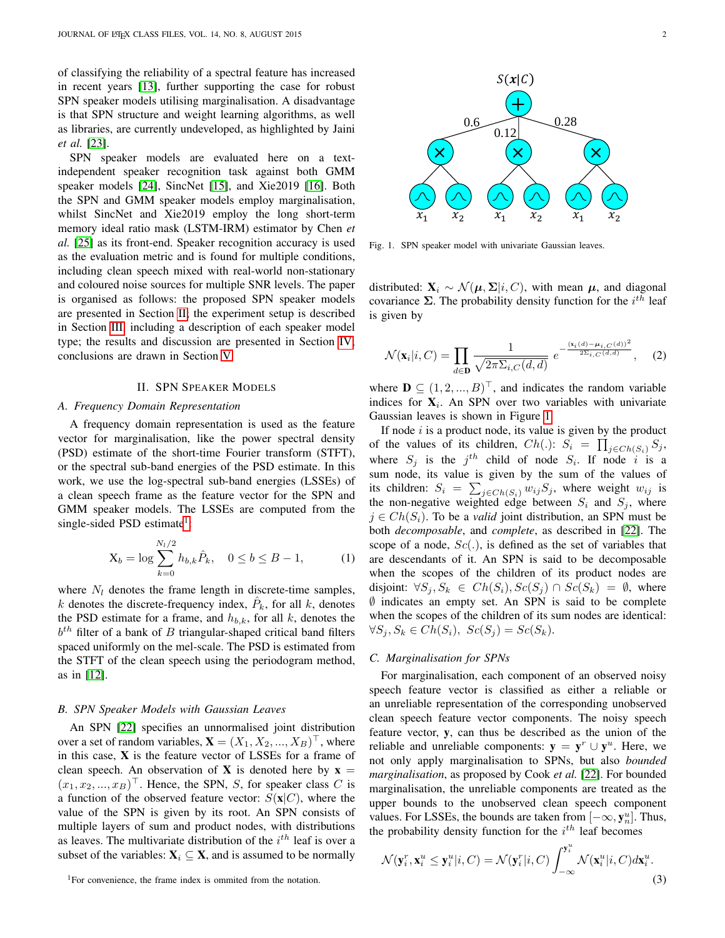of classifying the reliability of a spectral feature has increased in recent years [\[13\]](#page-4-12), further supporting the case for robust SPN speaker models utilising marginalisation. A disadvantage is that SPN structure and weight learning algorithms, as well as libraries, are currently undeveloped, as highlighted by Jaini *et al.* [\[23\]](#page-4-22).

SPN speaker models are evaluated here on a textindependent speaker recognition task against both GMM speaker models [\[24\]](#page-4-23), SincNet [\[15\]](#page-4-14), and Xie2019 [\[16\]](#page-4-15). Both the SPN and GMM speaker models employ marginalisation, whilst SincNet and Xie2019 employ the long short-term memory ideal ratio mask (LSTM-IRM) estimator by Chen *et al.* [\[25\]](#page-4-24) as its front-end. Speaker recognition accuracy is used as the evaluation metric and is found for multiple conditions, including clean speech mixed with real-world non-stationary and coloured noise sources for multiple SNR levels. The paper is organised as follows: the proposed SPN speaker models are presented in Section [II;](#page-1-0) the experiment setup is described in Section [III,](#page-2-0) including a description of each speaker model type; the results and discussion are presented in Section [IV;](#page-2-1) conclusions are drawn in Section [V.](#page-3-0)

### II. SPN SPEAKER MODELS

#### <span id="page-1-0"></span>*A. Frequency Domain Representation*

A frequency domain representation is used as the feature vector for marginalisation, like the power spectral density (PSD) estimate of the short-time Fourier transform (STFT), or the spectral sub-band energies of the PSD estimate. In this work, we use the log-spectral sub-band energies (LSSEs) of a clean speech frame as the feature vector for the SPN and GMM speaker models. The LSSEs are computed from the single-sided PSD estimate<sup>[1](#page-1-1)</sup>:

$$
X_b = \log \sum_{k=0}^{N_l/2} h_{b,k} \hat{P}_k, \quad 0 \le b \le B - 1,
$$
 (1)

where  $N_l$  denotes the frame length in discrete-time samples, k denotes the discrete-frequency index,  $\hat{P}_k$ , for all k, denotes the PSD estimate for a frame, and  $h_{b,k}$ , for all k, denotes the  $b<sup>th</sup>$  filter of a bank of B triangular-shaped critical band filters spaced uniformly on the mel-scale. The PSD is estimated from the STFT of the clean speech using the periodogram method, as in [\[12\]](#page-4-11).

## *B. SPN Speaker Models with Gaussian Leaves*

 $\sim$ 

An SPN [\[22\]](#page-4-21) specifies an unnormalised joint distribution over a set of random variables,  $\mathbf{X} = (X_1, X_2, ..., X_B)^\top$ , where in this case,  $X$  is the feature vector of LSSEs for a frame of clean speech. An observation of **X** is denoted here by  $x =$  $(x_1, x_2, ..., x_B)^\top$ . Hence, the SPN, S, for speaker class C is a function of the observed feature vector:  $S(\mathbf{x}|C)$ , where the value of the SPN is given by its root. An SPN consists of multiple layers of sum and product nodes, with distributions as leaves. The multivariate distribution of the  $i<sup>th</sup>$  leaf is over a subset of the variables:  $X_i \subseteq X$ , and is assumed to be normally

<span id="page-1-1"></span><sup>1</sup>For convenience, the frame index is ommited from the notation.



<span id="page-1-2"></span>Fig. 1. SPN speaker model with univariate Gaussian leaves.

distributed:  $\mathbf{X}_i \sim \mathcal{N}(\boldsymbol{\mu}, \boldsymbol{\Sigma} | i, C)$ , with mean  $\boldsymbol{\mu}$ , and diagonal covariance  $\Sigma$ . The probability density function for the  $i^{th}$  leaf is given by

$$
\mathcal{N}(\mathbf{x}_i|i, C) = \prod_{d \in \mathbf{D}} \frac{1}{\sqrt{2\pi \Sigma_{i, C}(d, d)}} e^{-\frac{(\mathbf{x}_i(d) - \boldsymbol{\mu}_{i, C}(d))^2}{2\Sigma_{i, C}(d, d)}}, \quad (2)
$$

where  $\mathbf{D} \subseteq (1, 2, ..., B)^{\top}$ , and indicates the random variable indices for  $X_i$ . An SPN over two variables with univariate Gaussian leaves is shown in Figure [1.](#page-1-2)

If node  $i$  is a product node, its value is given by the product of the values of its children,  $Ch(.)$ :  $S_i = \prod_{j \in Ch(S_i)} S_j$ , where  $S_j$  is the  $j<sup>th</sup>$  child of node  $S_i$ . If node i is a sum node, its value is given by the sum of the values of its children:  $S_i = \sum_{j \in Ch(S_i)} w_{ij} S_j$ , where weight  $w_{ij}$  is the non-negative weighted edge between  $S_i$  and  $S_j$ , where  $j \in Ch(S_i)$ . To be a *valid* joint distribution, an SPN must be both *decomposable*, and *complete*, as described in [\[22\]](#page-4-21). The scope of a node,  $Sc(.)$ , is defined as the set of variables that are descendants of it. An SPN is said to be decomposable when the scopes of the children of its product nodes are disjoint:  $\forall S_j, S_k \in Ch(S_i), Sc(S_j) \cap Sc(S_k) = \emptyset$ , where ∅ indicates an empty set. An SPN is said to be complete when the scopes of the children of its sum nodes are identical:  $\forall S_i, S_k \in Ch(S_i), \; Sc(S_i) = Sc(S_k).$ 

#### *C. Marginalisation for SPNs*

For marginalisation, each component of an observed noisy speech feature vector is classified as either a reliable or an unreliable representation of the corresponding unobserved clean speech feature vector components. The noisy speech feature vector, y, can thus be described as the union of the reliable and unreliable components:  $y = y^r \cup y^u$ . Here, we not only apply marginalisation to SPNs, but also *bounded marginalisation*, as proposed by Cook *et al.* [\[22\]](#page-4-21). For bounded marginalisation, the unreliable components are treated as the upper bounds to the unobserved clean speech component values. For LSSEs, the bounds are taken from  $[-\infty, \mathbf{y}_n^u]$ . Thus, the probability density function for the  $i^{th}$  leaf becomes

<span id="page-1-3"></span>
$$
\mathcal{N}(\mathbf{y}_i^r, \mathbf{x}_i^u \le \mathbf{y}_i^u | i, C) = \mathcal{N}(\mathbf{y}_i^r | i, C) \int_{-\infty}^{\mathbf{y}_i^u} \mathcal{N}(\mathbf{x}_i^u | i, C) d\mathbf{x}_i^u.
$$
\n(3)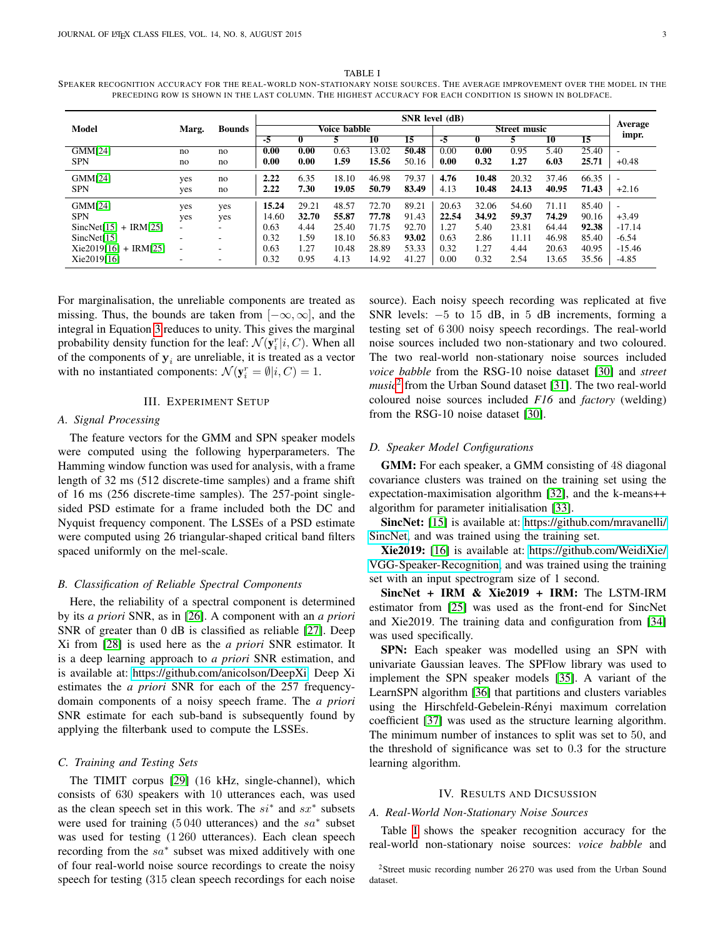#### <span id="page-2-3"></span>TABLE I SPEAKER RECOGNITION ACCURACY FOR THE REAL-WORLD NON-STATIONARY NOISE SOURCES. THE AVERAGE IMPROVEMENT OVER THE MODEL IN THE PRECEDING ROW IS SHOWN IN THE LAST COLUMN. THE HIGHEST ACCURACY FOR EACH CONDITION IS SHOWN IN BOLDFACE.

|                         |       | <b>Bounds</b> | SNR level (dB)    |       |       |       |                     |       |       |       |         |       |                          |
|-------------------------|-------|---------------|-------------------|-------|-------|-------|---------------------|-------|-------|-------|---------|-------|--------------------------|
| <b>Model</b>            | Marg. |               | Voice babble      |       |       |       | <b>Street music</b> |       |       |       | Average |       |                          |
|                         |       |               | -5                |       |       | 10    | $\overline{15}$     | -5    |       |       | 10      | 15    | impr.                    |
| GMM[24]                 | no    | no            | $\overline{0.00}$ | 0.00  | 0.63  | 13.02 | 50.48               | 0.00  | 0.00  | 0.95  | 5.40    | 25.40 |                          |
| <b>SPN</b>              | no    | no            | 0.00              | 0.00  | 1.59  | 15.56 | 50.16               | 0.00  | 0.32  | 1.27  | 6.03    | 25.71 | $+0.48$                  |
| GMM[24]                 | yes   | no            | 2.22              | 6.35  | 18.10 | 46.98 | 79.37               | 4.76  | 10.48 | 20.32 | 37.46   | 66.35 |                          |
| <b>SPN</b>              | yes   | no            | 2.22              | 7.30  | 19.05 | 50.79 | 83.49               | 4.13  | 10.48 | 24.13 | 40.95   | 71.43 | $+2.16$                  |
| GMM[24]                 | yes   | yes           | 15.24             | 29.21 | 48.57 | 72.70 | 89.21               | 20.63 | 32.06 | 54.60 | 71.11   | 85.40 | $\overline{\phantom{a}}$ |
| <b>SPN</b>              | yes   | yes           | 14.60             | 32.70 | 55.87 | 77.78 | 91.43               | 22.54 | 34.92 | 59.37 | 74.29   | 90.16 | $+3.49$                  |
| $SincNet[15] + IRM[25]$ | Ξ.    |               | 0.63              | 4.44  | 25.40 | 71.75 | 92.70               | 1.27  | 5.40  | 23.81 | 64.44   | 92.38 | $-17.14$                 |
| SincNet[15]             | ۰     |               | 0.32              | 1.59  | 18.10 | 56.83 | 93.02               | 0.63  | 2.86  | 11.11 | 46.98   | 85.40 | $-6.54$                  |
| $Xie2019[16] + IRM[25]$ | ٠     |               | 0.63              | 1.27  | 10.48 | 28.89 | 53.33               | 0.32  | 1.27  | 4.44  | 20.63   | 40.95 | $-15.46$                 |
| Xie2019[16]             | ۰     |               | 0.32              | 0.95  | 4.13  | 14.92 | 41.27               | 0.00  | 0.32  | 2.54  | 13.65   | 35.56 | $-4.85$                  |

For marginalisation, the unreliable components are treated as missing. Thus, the bounds are taken from  $[-\infty, \infty]$ , and the integral in Equation [3](#page-1-3) reduces to unity. This gives the marginal probability density function for the leaf:  $\mathcal{N}(\mathbf{y}_i^r|i, C)$ . When all of the components of  $y_i$  are unreliable, it is treated as a vector with no instantiated components:  $\mathcal{N}(\mathbf{y}_i^r = \emptyset | i, C) = 1$ .

### III. EXPERIMENT SETUP

#### <span id="page-2-0"></span>*A. Signal Processing*

The feature vectors for the GMM and SPN speaker models were computed using the following hyperparameters. The Hamming window function was used for analysis, with a frame length of 32 ms (512 discrete-time samples) and a frame shift of 16 ms (256 discrete-time samples). The 257-point singlesided PSD estimate for a frame included both the DC and Nyquist frequency component. The LSSEs of a PSD estimate were computed using 26 triangular-shaped critical band filters spaced uniformly on the mel-scale.

#### *B. Classification of Reliable Spectral Components*

Here, the reliability of a spectral component is determined by its *a priori* SNR, as in [\[26\]](#page-4-25). A component with an *a priori* SNR of greater than 0 dB is classified as reliable [\[27\]](#page-4-26). Deep Xi from [\[28\]](#page-4-27) is used here as the *a priori* SNR estimator. It is a deep learning approach to *a priori* SNR estimation, and is available at: [https://github.com/anicolson/DeepXi.](https://github.com/anicolson/DeepXi) Deep Xi estimates the *a priori* SNR for each of the 257 frequencydomain components of a noisy speech frame. The *a priori* SNR estimate for each sub-band is subsequently found by applying the filterbank used to compute the LSSEs.

# *C. Training and Testing Sets*

The TIMIT corpus [\[29\]](#page-4-28) (16 kHz, single-channel), which consists of 630 speakers with 10 utterances each, was used as the clean speech set in this work. The  $si^*$  and  $sx^*$  subsets were used for training  $(5040$  utterances) and the  $sa^*$  subset was used for testing  $(1\,260)$  utterances). Each clean speech recording from the  $sa^*$  subset was mixed additively with one of four real-world noise source recordings to create the noisy speech for testing (315 clean speech recordings for each noise source). Each noisy speech recording was replicated at five SNR levels: −5 to 15 dB, in 5 dB increments, forming a testing set of 6 300 noisy speech recordings. The real-world noise sources included two non-stationary and two coloured. The two real-world non-stationary noise sources included *voice babble* from the RSG-10 noise dataset [\[30\]](#page-4-29) and *street music*[2](#page-2-2) from the Urban Sound dataset [\[31\]](#page-4-30). The two real-world coloured noise sources included *F16* and *factory* (welding) from the RSG-10 noise dataset [\[30\]](#page-4-29).

# *D. Speaker Model Configurations*

GMM: For each speaker, a GMM consisting of 48 diagonal covariance clusters was trained on the training set using the expectation-maximisation algorithm [\[32\]](#page-4-31), and the k-means++ algorithm for parameter initialisation [\[33\]](#page-4-32).

SincNet: [\[15\]](#page-4-14) is available at: [https://github.com/mravanelli/](https://github.com/mravanelli/SincNet) [SincNet,](https://github.com/mravanelli/SincNet) and was trained using the training set.

Xie2019: [\[16\]](#page-4-15) is available at: [https://github.com/WeidiXie/](https://github.com/WeidiXie/VGG-Speaker-Recognition) [VGG-Speaker-Recognition,](https://github.com/WeidiXie/VGG-Speaker-Recognition) and was trained using the training set with an input spectrogram size of 1 second.

SincNet + IRM & Xie2019 + IRM: The LSTM-IRM estimator from [\[25\]](#page-4-24) was used as the front-end for SincNet and Xie2019. The training data and configuration from [\[34\]](#page-4-33) was used specifically.

SPN: Each speaker was modelled using an SPN with univariate Gaussian leaves. The SPFlow library was used to implement the SPN speaker models [\[35\]](#page-4-34). A variant of the LearnSPN algorithm [\[36\]](#page-4-35) that partitions and clusters variables using the Hirschfeld-Gebelein-Rényi maximum correlation coefficient [\[37\]](#page-4-36) was used as the structure learning algorithm. The minimum number of instances to split was set to 50, and the threshold of significance was set to 0.3 for the structure learning algorithm.

## IV. RESULTS AND DICSUSSION

## <span id="page-2-1"></span>*A. Real-World Non-Stationary Noise Sources*

Table [I](#page-2-3) shows the speaker recognition accuracy for the real-world non-stationary noise sources: *voice babble* and

<span id="page-2-2"></span><sup>2</sup>Street music recording number 26 270 was used from the Urban Sound dataset.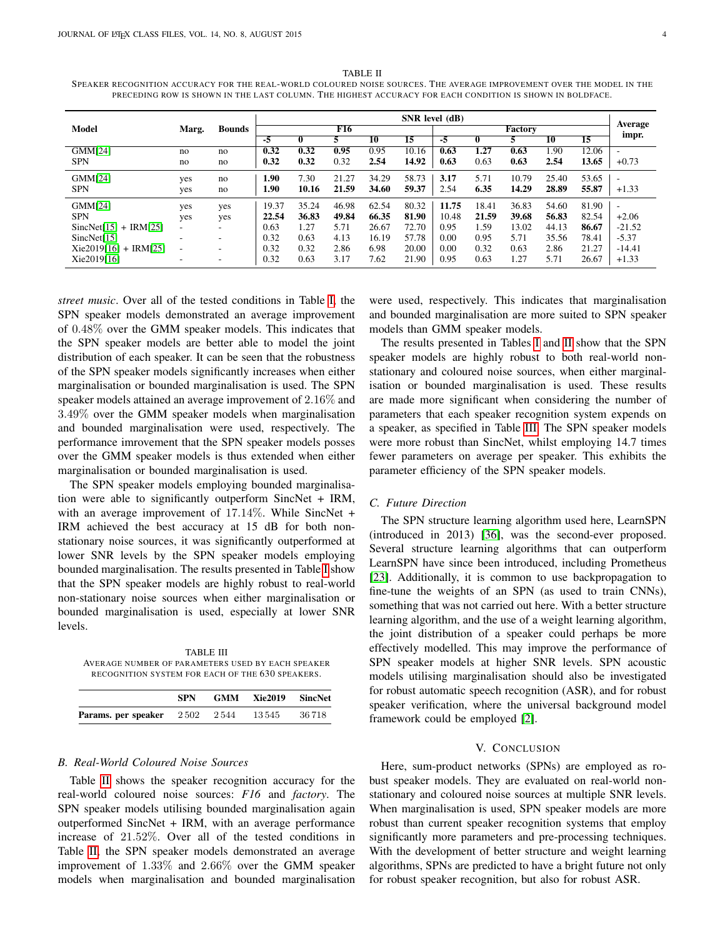<span id="page-3-1"></span>TABLE II SPEAKER RECOGNITION ACCURACY FOR THE REAL-WORLD COLOURED NOISE SOURCES. THE AVERAGE IMPROVEMENT OVER THE MODEL IN THE PRECEDING ROW IS SHOWN IN THE LAST COLUMN. THE HIGHEST ACCURACY FOR EACH CONDITION IS SHOWN IN BOLDFACE.

|                         | Marg. | <b>Bounds</b> | $SNR$ level $(dB)$ |       |       |       |                 |       |       |       |         |       |                          |
|-------------------------|-------|---------------|--------------------|-------|-------|-------|-----------------|-------|-------|-------|---------|-------|--------------------------|
| Model                   |       |               | F16                |       |       |       | <b>Factory</b>  |       |       |       | Average |       |                          |
|                         |       |               | -5                 | 0     |       | 10    | $\overline{15}$ | -5    |       |       | 10      | 15    | impr.                    |
| GMM[24]                 | no    | no            | 0.32               | 0.32  | 0.95  | 0.95  | 10.16           | 0.63  | 1.27  | 0.63  | 1.90    | 12.06 | $\overline{\phantom{a}}$ |
| <b>SPN</b>              | no    | no            | 0.32               | 0.32  | 0.32  | 2.54  | 14.92           | 0.63  | 0.63  | 0.63  | 2.54    | 13.65 | $+0.73$                  |
| GMM[24]                 | yes   | no            | 1.90               | 7.30  | 21.27 | 34.29 | 58.73           | 3.17  | 5.71  | 10.79 | 25.40   | 53.65 | $\overline{\phantom{a}}$ |
| <b>SPN</b>              | yes   | no            | 1.90               | 10.16 | 21.59 | 34.60 | 59.37           | 2.54  | 6.35  | 14.29 | 28.89   | 55.87 | $+1.33$                  |
| GMM[24]                 | yes   | yes           | 19.37              | 35.24 | 46.98 | 62.54 | 80.32           | 11.75 | 18.41 | 36.83 | 54.60   | 81.90 | $\overline{\phantom{a}}$ |
| <b>SPN</b>              | yes   | yes           | 22.54              | 36.83 | 49.84 | 66.35 | 81.90           | 10.48 | 21.59 | 39.68 | 56.83   | 82.54 | $+2.06$                  |
| $SincNet[15] + IRM[25]$ | Ξ.    |               | 0.63               | 1.27  | 5.71  | 26.67 | 72.70           | 0.95  | 1.59  | 13.02 | 44.13   | 86.67 | $-21.52$                 |
| SincNet[15]             | ۰     | ۰.            | 0.32               | 0.63  | 4.13  | 16.19 | 57.78           | 0.00  | 0.95  | 5.71  | 35.56   | 78.41 | $-5.37$                  |
| $Xie2019[16] + IRM[25]$ | ۰     |               | 0.32               | 0.32  | 2.86  | 6.98  | 20.00           | 0.00  | 0.32  | 0.63  | 2.86    | 21.27 | $-14.41$                 |
| Xie2019[16]             | ۰     |               | 0.32               | 0.63  | 3.17  | 7.62  | 21.90           | 0.95  | 0.63  | l.27  | 5.71    | 26.67 | $+1.33$                  |

*street music*. Over all of the tested conditions in Table [I,](#page-2-3) the SPN speaker models demonstrated an average improvement of 0.48% over the GMM speaker models. This indicates that the SPN speaker models are better able to model the joint distribution of each speaker. It can be seen that the robustness of the SPN speaker models significantly increases when either marginalisation or bounded marginalisation is used. The SPN speaker models attained an average improvement of 2.16% and 3.49% over the GMM speaker models when marginalisation and bounded marginalisation were used, respectively. The performance imrovement that the SPN speaker models posses over the GMM speaker models is thus extended when either marginalisation or bounded marginalisation is used.

The SPN speaker models employing bounded marginalisation were able to significantly outperform SincNet + IRM, with an average improvement of 17.14%. While SincNet + IRM achieved the best accuracy at 15 dB for both nonstationary noise sources, it was significantly outperformed at lower SNR levels by the SPN speaker models employing bounded marginalisation. The results presented in Table [I](#page-2-3) show that the SPN speaker models are highly robust to real-world non-stationary noise sources when either marginalisation or bounded marginalisation is used, especially at lower SNR levels.

<span id="page-3-2"></span>TABLE III AVERAGE NUMBER OF PARAMETERS USED BY EACH SPEAKER RECOGNITION SYSTEM FOR EACH OF THE 630 SPEAKERS.

|                                          | SPN | GMM Xie2019 SincNet |        |
|------------------------------------------|-----|---------------------|--------|
| <b>Params.</b> per speaker $2502$ $2544$ |     | 13 545              | 36 718 |

# *B. Real-World Coloured Noise Sources*

Table [II](#page-3-1) shows the speaker recognition accuracy for the real-world coloured noise sources: *F16* and *factory*. The SPN speaker models utilising bounded marginalisation again outperformed SincNet + IRM, with an average performance increase of 21.52%. Over all of the tested conditions in Table [II,](#page-3-1) the SPN speaker models demonstrated an average improvement of 1.33% and 2.66% over the GMM speaker models when marginalisation and bounded marginalisation were used, respectively. This indicates that marginalisation and bounded marginalisation are more suited to SPN speaker models than GMM speaker models.

The results presented in Tables [I](#page-2-3) and [II](#page-3-1) show that the SPN speaker models are highly robust to both real-world nonstationary and coloured noise sources, when either marginalisation or bounded marginalisation is used. These results are made more significant when considering the number of parameters that each speaker recognition system expends on a speaker, as specified in Table [III.](#page-3-2) The SPN speaker models were more robust than SincNet, whilst employing 14.7 times fewer parameters on average per speaker. This exhibits the parameter efficiency of the SPN speaker models.

#### *C. Future Direction*

The SPN structure learning algorithm used here, LearnSPN (introduced in 2013) [\[36\]](#page-4-35), was the second-ever proposed. Several structure learning algorithms that can outperform LearnSPN have since been introduced, including Prometheus [\[23\]](#page-4-22). Additionally, it is common to use backpropagation to fine-tune the weights of an SPN (as used to train CNNs), something that was not carried out here. With a better structure learning algorithm, and the use of a weight learning algorithm, the joint distribution of a speaker could perhaps be more effectively modelled. This may improve the performance of SPN speaker models at higher SNR levels. SPN acoustic models utilising marginalisation should also be investigated for robust automatic speech recognition (ASR), and for robust speaker verification, where the universal background model framework could be employed [\[2\]](#page-4-1).

### V. CONCLUSION

<span id="page-3-0"></span>Here, sum-product networks (SPNs) are employed as robust speaker models. They are evaluated on real-world nonstationary and coloured noise sources at multiple SNR levels. When marginalisation is used, SPN speaker models are more robust than current speaker recognition systems that employ significantly more parameters and pre-processing techniques. With the development of better structure and weight learning algorithms, SPNs are predicted to have a bright future not only for robust speaker recognition, but also for robust ASR.